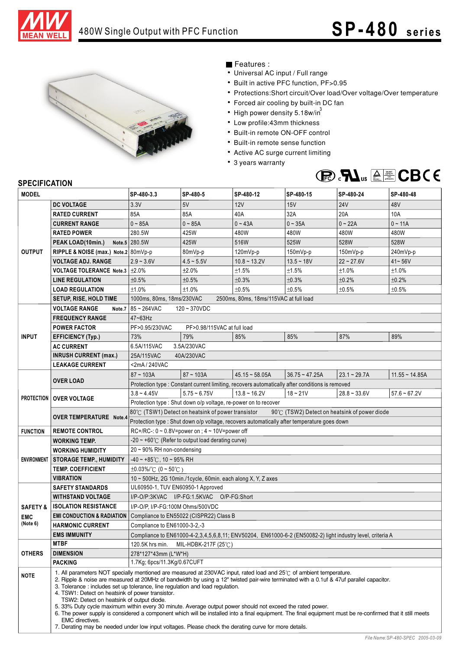



## Features :

- Universal AC input / Full range
- Built in active PFC function, PF>0.95
- Protections:Short circuit/Over load/Over voltage/Over temperature
- Forced air cooling by built-in DC fan
- High power density 5.18w/in $^{\rm 3}$
- Low profile:43mm thickness
- Built-in remote ON-OFF control
- Built-in remote sense function
- Active AC surge current limiting
- 3 years warranty



## **SPECIFICATION**

| <b>MODEL</b>           |                                                                                                                                                                                                                                                                                                                                                                                                                                                                                                                                                                                                                                                                                                                                                                                                                                                                  | SP-480-3.3                                                                                        | SP-480-5                                                                                                   | SP-480-12                                                                                       | SP-480-15        | SP-480-24      | SP-480-48        |
|------------------------|------------------------------------------------------------------------------------------------------------------------------------------------------------------------------------------------------------------------------------------------------------------------------------------------------------------------------------------------------------------------------------------------------------------------------------------------------------------------------------------------------------------------------------------------------------------------------------------------------------------------------------------------------------------------------------------------------------------------------------------------------------------------------------------------------------------------------------------------------------------|---------------------------------------------------------------------------------------------------|------------------------------------------------------------------------------------------------------------|-------------------------------------------------------------------------------------------------|------------------|----------------|------------------|
|                        | <b>DC VOLTAGE</b>                                                                                                                                                                                                                                                                                                                                                                                                                                                                                                                                                                                                                                                                                                                                                                                                                                                | 3.3V                                                                                              | 5V                                                                                                         | 12V                                                                                             | 15V              | <b>24V</b>     | 48V              |
| <b>OUTPUT</b>          | <b>RATED CURRENT</b>                                                                                                                                                                                                                                                                                                                                                                                                                                                                                                                                                                                                                                                                                                                                                                                                                                             | 85A                                                                                               | 85A                                                                                                        | 40A                                                                                             | 32A              | 20A            | 10A              |
|                        | <b>CURRENT RANGE</b>                                                                                                                                                                                                                                                                                                                                                                                                                                                                                                                                                                                                                                                                                                                                                                                                                                             | $0 - 85A$                                                                                         | $0 - 85A$                                                                                                  | $0 - 43A$                                                                                       | $0 - 35A$        | $0 - 22A$      | $0 - 11A$        |
|                        | <b>RATED POWER</b>                                                                                                                                                                                                                                                                                                                                                                                                                                                                                                                                                                                                                                                                                                                                                                                                                                               | 280.5W                                                                                            | 425W                                                                                                       | 480W                                                                                            | 480W             | 480W           | 480W             |
|                        | PEAK LOAD(10min.)                                                                                                                                                                                                                                                                                                                                                                                                                                                                                                                                                                                                                                                                                                                                                                                                                                                | Note.5 280.5W                                                                                     | 425W                                                                                                       | 516W                                                                                            | 525W             | 528W           | 528W             |
|                        | RIPPLE & NOISE (max.) Note.2 80mVp-p                                                                                                                                                                                                                                                                                                                                                                                                                                                                                                                                                                                                                                                                                                                                                                                                                             |                                                                                                   | 80mVp-p                                                                                                    | 120mVp-p                                                                                        | 150mVp-p         | 150mVp-p       | 240mVp-p         |
|                        | <b>VOLTAGE ADJ. RANGE</b>                                                                                                                                                                                                                                                                                                                                                                                                                                                                                                                                                                                                                                                                                                                                                                                                                                        | $2.9 - 3.6V$                                                                                      | $4.5 - 5.5V$                                                                                               | $10.8 - 13.2V$                                                                                  | $13.5 - 18V$     | $22 - 27.6V$   | $41 - 56V$       |
|                        | VOLTAGE TOLERANCE Note.3 ±2.0%                                                                                                                                                                                                                                                                                                                                                                                                                                                                                                                                                                                                                                                                                                                                                                                                                                   |                                                                                                   | ±2.0%                                                                                                      | ±1.5%                                                                                           | ±1.5%            | ±1.0%          | ±1.0%            |
|                        | <b>LINE REGULATION</b>                                                                                                                                                                                                                                                                                                                                                                                                                                                                                                                                                                                                                                                                                                                                                                                                                                           | ±0.5%                                                                                             | ±0.5%                                                                                                      | ±0.3%                                                                                           | ±0.3%            | ±0.2%          | ±0.2%            |
|                        | <b>LOAD REGULATION</b>                                                                                                                                                                                                                                                                                                                                                                                                                                                                                                                                                                                                                                                                                                                                                                                                                                           | ±1.0%                                                                                             | ±1.0%                                                                                                      | ±0.5%                                                                                           | ±0.5%            | ±0.5%          | ±0.5%            |
|                        | <b>SETUP, RISE, HOLD TIME</b>                                                                                                                                                                                                                                                                                                                                                                                                                                                                                                                                                                                                                                                                                                                                                                                                                                    | 1000ms, 80ms, 18ms/230VAC<br>2500ms, 80ms, 18ms/115VAC at full load                               |                                                                                                            |                                                                                                 |                  |                |                  |
|                        | <b>VOLTAGE RANGE</b><br>Note.7                                                                                                                                                                                                                                                                                                                                                                                                                                                                                                                                                                                                                                                                                                                                                                                                                                   | 85~264VAC<br>120~370VDC                                                                           |                                                                                                            |                                                                                                 |                  |                |                  |
| <b>INPUT</b>           | <b>FREQUENCY RANGE</b>                                                                                                                                                                                                                                                                                                                                                                                                                                                                                                                                                                                                                                                                                                                                                                                                                                           | 47~63Hz                                                                                           |                                                                                                            |                                                                                                 |                  |                |                  |
|                        | <b>POWER FACTOR</b>                                                                                                                                                                                                                                                                                                                                                                                                                                                                                                                                                                                                                                                                                                                                                                                                                                              | PF>0.95/230VAC                                                                                    | PF>0.98/115VAC at full load                                                                                |                                                                                                 |                  |                |                  |
|                        | <b>EFFICIENCY (Typ.)</b>                                                                                                                                                                                                                                                                                                                                                                                                                                                                                                                                                                                                                                                                                                                                                                                                                                         | 73%                                                                                               | 79%                                                                                                        | 85%                                                                                             | 85%              | 87%            | 89%              |
|                        | <b>AC CURRENT</b>                                                                                                                                                                                                                                                                                                                                                                                                                                                                                                                                                                                                                                                                                                                                                                                                                                                | 6.5A/115VAC<br>3.5A/230VAC                                                                        |                                                                                                            |                                                                                                 |                  |                |                  |
|                        | <b>INRUSH CURRENT (max.)</b>                                                                                                                                                                                                                                                                                                                                                                                                                                                                                                                                                                                                                                                                                                                                                                                                                                     | 25A/115VAC<br>40A/230VAC                                                                          |                                                                                                            |                                                                                                 |                  |                |                  |
|                        | <b>LEAKAGE CURRENT</b>                                                                                                                                                                                                                                                                                                                                                                                                                                                                                                                                                                                                                                                                                                                                                                                                                                           | <2mA/240VAC                                                                                       |                                                                                                            |                                                                                                 |                  |                |                  |
|                        | <b>OVER LOAD</b>                                                                                                                                                                                                                                                                                                                                                                                                                                                                                                                                                                                                                                                                                                                                                                                                                                                 | $87 - 103A$                                                                                       | $87 - 103A$                                                                                                | $45.15 \sim 58.05A$                                                                             | $36.75 - 47.25A$ | $23.1 - 29.7A$ | $11.55 - 14.85A$ |
|                        |                                                                                                                                                                                                                                                                                                                                                                                                                                                                                                                                                                                                                                                                                                                                                                                                                                                                  |                                                                                                   |                                                                                                            | Protection type : Constant current limiting, recovers automatically after conditions is removed |                  |                |                  |
|                        | <b>PROTECTION   OVER VOLTAGE</b>                                                                                                                                                                                                                                                                                                                                                                                                                                                                                                                                                                                                                                                                                                                                                                                                                                 | $3.8 - 4.45V$                                                                                     | $5.75 - 6.75V$                                                                                             | $13.8 - 16.2V$                                                                                  | $18 - 21V$       | $28.8 - 33.6V$ | $57.6 - 67.2V$   |
|                        |                                                                                                                                                                                                                                                                                                                                                                                                                                                                                                                                                                                                                                                                                                                                                                                                                                                                  | Protection type : Shut down o/p voltage, re-power on to recover                                   |                                                                                                            |                                                                                                 |                  |                |                  |
|                        | <b>OVER TEMPERATURE Note.4</b>                                                                                                                                                                                                                                                                                                                                                                                                                                                                                                                                                                                                                                                                                                                                                                                                                                   | 80℃ (TSW1) Detect on heatsink of power transistor<br>90℃ (TSW2) Detect on heatsink of power diode |                                                                                                            |                                                                                                 |                  |                |                  |
|                        |                                                                                                                                                                                                                                                                                                                                                                                                                                                                                                                                                                                                                                                                                                                                                                                                                                                                  | Protection type : Shut down o/p voltage, recovers automatically after temperature goes down       |                                                                                                            |                                                                                                 |                  |                |                  |
| <b>FUNCTION</b>        | <b>REMOTE CONTROL</b>                                                                                                                                                                                                                                                                                                                                                                                                                                                                                                                                                                                                                                                                                                                                                                                                                                            | RC+/RC-: $0 \sim 0.8V$ =power on ; $4 \sim 10V$ =power off                                        |                                                                                                            |                                                                                                 |                  |                |                  |
|                        | <b>WORKING TEMP.</b>                                                                                                                                                                                                                                                                                                                                                                                                                                                                                                                                                                                                                                                                                                                                                                                                                                             | $-20 \sim +60^{\circ}$ (Refer to output load derating curve)                                      |                                                                                                            |                                                                                                 |                  |                |                  |
|                        | <b>WORKING HUMIDITY</b>                                                                                                                                                                                                                                                                                                                                                                                                                                                                                                                                                                                                                                                                                                                                                                                                                                          | $20 \sim 90\%$ RH non-condensing                                                                  |                                                                                                            |                                                                                                 |                  |                |                  |
|                        | ENVIRONMENT   STORAGE TEMP., HUMIDITY                                                                                                                                                                                                                                                                                                                                                                                                                                                                                                                                                                                                                                                                                                                                                                                                                            | $-40 \sim +85^{\circ}$ C, 10 ~ 95% RH                                                             |                                                                                                            |                                                                                                 |                  |                |                  |
|                        | <b>TEMP. COEFFICIENT</b>                                                                                                                                                                                                                                                                                                                                                                                                                                                                                                                                                                                                                                                                                                                                                                                                                                         | $\pm 0.03\%$ (0 ~ 50°C)                                                                           |                                                                                                            |                                                                                                 |                  |                |                  |
|                        | <b>VIBRATION</b>                                                                                                                                                                                                                                                                                                                                                                                                                                                                                                                                                                                                                                                                                                                                                                                                                                                 | 10 ~ 500Hz, 2G 10min./1cycle, 60min. each along X, Y, Z axes                                      |                                                                                                            |                                                                                                 |                  |                |                  |
|                        | <b>SAFETY STANDARDS</b>                                                                                                                                                                                                                                                                                                                                                                                                                                                                                                                                                                                                                                                                                                                                                                                                                                          | UL60950-1, TUV EN60950-1 Approved                                                                 |                                                                                                            |                                                                                                 |                  |                |                  |
|                        | <b>WITHSTAND VOLTAGE</b>                                                                                                                                                                                                                                                                                                                                                                                                                                                                                                                                                                                                                                                                                                                                                                                                                                         | I/P-O/P:3KVAC I/P-FG:1.5KVAC O/P-FG:Short                                                         |                                                                                                            |                                                                                                 |                  |                |                  |
| <b>SAFETY &amp;</b>    | <b>ISOLATION RESISTANCE</b>                                                                                                                                                                                                                                                                                                                                                                                                                                                                                                                                                                                                                                                                                                                                                                                                                                      | I/P-O/P, I/P-FG:100M Ohms/500VDC                                                                  |                                                                                                            |                                                                                                 |                  |                |                  |
| <b>EMC</b><br>(Note 6) | <b>EMI CONDUCTION &amp; RADIATION</b>                                                                                                                                                                                                                                                                                                                                                                                                                                                                                                                                                                                                                                                                                                                                                                                                                            | Compliance to EN55022 (CISPR22) Class B                                                           |                                                                                                            |                                                                                                 |                  |                |                  |
|                        | <b>HARMONIC CURRENT</b>                                                                                                                                                                                                                                                                                                                                                                                                                                                                                                                                                                                                                                                                                                                                                                                                                                          | Compliance to EN61000-3-2,-3                                                                      |                                                                                                            |                                                                                                 |                  |                |                  |
|                        | <b>EMS IMMUNITY</b>                                                                                                                                                                                                                                                                                                                                                                                                                                                                                                                                                                                                                                                                                                                                                                                                                                              |                                                                                                   | Compliance to EN61000-4-2,3,4,5,6,8,11; ENV50204, EN61000-6-2 (EN50082-2) light industry level, criteria A |                                                                                                 |                  |                |                  |
| <b>OTHERS</b>          | <b>MTBF</b>                                                                                                                                                                                                                                                                                                                                                                                                                                                                                                                                                                                                                                                                                                                                                                                                                                                      | 120.5K hrs min.                                                                                   | MIL-HDBK-217F (25℃)                                                                                        |                                                                                                 |                  |                |                  |
|                        | <b>DIMENSION</b>                                                                                                                                                                                                                                                                                                                                                                                                                                                                                                                                                                                                                                                                                                                                                                                                                                                 | 278*127*43mm (L*W*H)                                                                              |                                                                                                            |                                                                                                 |                  |                |                  |
|                        | <b>PACKING</b>                                                                                                                                                                                                                                                                                                                                                                                                                                                                                                                                                                                                                                                                                                                                                                                                                                                   | 1.7Kg; 6pcs/11.3Kg/0.67CUFT                                                                       |                                                                                                            |                                                                                                 |                  |                |                  |
| <b>NOTE</b>            | 1. All parameters NOT specially mentioned are measured at 230VAC input, rated load and $25\degree$ of ambient temperature.<br>2. Ripple & noise are measured at 20MHz of bandwidth by using a 12" twisted pair-wire terminated with a 0.1uf & 47uf parallel capacitor.<br>3. Tolerance : includes set up tolerance, line regulation and load regulation.<br>4. TSW1: Detect on heatsink of power transistor.<br>TSW2: Detect on heatsink of output diode.<br>5. 33% Duty cycle maximum within every 30 minute. Average output power should not exceed the rated power.<br>6. The power supply is considered a component which will be installed into a final equipment. The final equipment must be re-confirmed that it still meets<br>EMC directives.<br>7. Derating may be needed under low input voltages. Please check the derating curve for more details. |                                                                                                   |                                                                                                            |                                                                                                 |                  |                |                  |